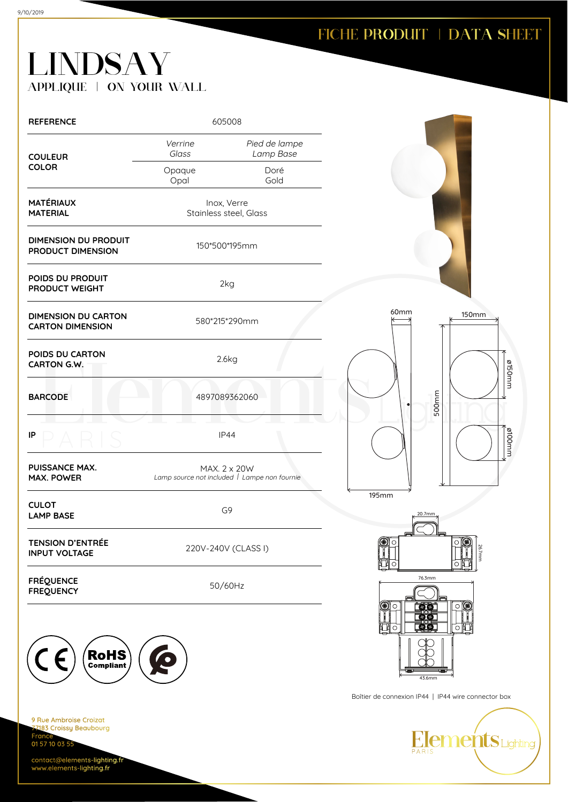## **LINDSAY** APPLIQUE | ON YOUR WALL

| <b>REFERENCE</b>                                                                | 605008                                                       |                            |                                                     |
|---------------------------------------------------------------------------------|--------------------------------------------------------------|----------------------------|-----------------------------------------------------|
| <b>COULEUR</b>                                                                  | Verrine<br>Glass                                             | Pied de lampe<br>Lamp Base |                                                     |
| <b>COLOR</b>                                                                    | Opaque<br>Opal                                               | Doré<br>Gold               |                                                     |
| <b>MATÉRIAUX</b><br><b>MATERIAL</b>                                             | Inox, Verre<br>Stainless steel, Glass                        |                            |                                                     |
| <b>DIMENSION DU PRODUIT</b><br>PRODUCT DIMENSION                                | 150*500*195mm                                                |                            |                                                     |
| POIDS DU PRODUIT<br>PRODUCT WEIGHT                                              |                                                              | 2kg                        |                                                     |
| <b>DIMENSION DU CARTON</b><br><b>CARTON DIMENSION</b>                           |                                                              | 580*215*290mm              | 60mm<br><b>150mm</b>                                |
| POIDS DU CARTON<br>CARTON G.W.                                                  |                                                              | 2.6kg                      | ø150mm                                              |
| <b>BARCODE</b>                                                                  | 4897089362060                                                |                            | 500mm                                               |
| IP                                                                              | IP44                                                         |                            | mm0018                                              |
| PUISSANCE MAX.<br><b>MAX. POWER</b>                                             | MAX. 2 x 20W<br>Lamp source not included   Lampe non fournie |                            |                                                     |
| <b>CULOT</b><br><b>LAMP BASE</b>                                                | G9                                                           |                            | <b>195mm</b><br>20.7mm                              |
| <b>TENSION D'ENTRÉE</b><br><b>INPUT VOLTAGE</b>                                 | 220V-240V (CLASS I)                                          |                            | ▩<br>С<br>Ω<br>26.7mm                               |
| <b>FRÉQUENCE</b><br><b>FREQUENCY</b>                                            | 50/60Hz                                                      |                            | 76.3mm                                              |
|                                                                                 |                                                              |                            | ⊴(€<br>$\circ$<br><b>E</b><br>醿<br>о∥<br>$\circ$    |
| RoHS<br>$\blacksquare$                                                          |                                                              |                            | 43.6mm                                              |
|                                                                                 |                                                              |                            | Boîtier de connexion IP44   IP44 wire connector box |
| 9 Rue Ambroise Croizat<br>77183 Croissy Beaubourg<br>France -<br>01 57 10 03 55 |                                                              |                            | <b>Elements</b> Lighting                            |

contact@elements-lighting.fr www.elements-lighting.fr